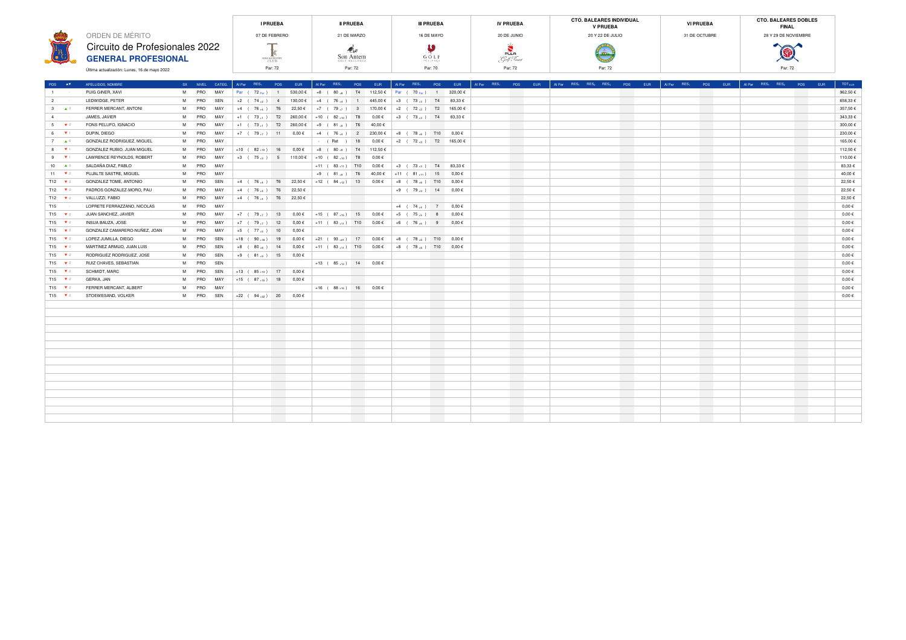|                                              | <b>I PRUEBA</b>                          | <b>II PRUEBA</b>           | <b>III PRUEBA</b> | <b>IV PRUEBA</b> | <b>CTO. BALEARES INDIVIDUAL</b><br><b>V PRUEBA</b> | <b>VI PRUEBA</b> | <b>CTO. BALEARES DOBLES</b><br><b>FINAL</b> |  |
|----------------------------------------------|------------------------------------------|----------------------------|-------------------|------------------|----------------------------------------------------|------------------|---------------------------------------------|--|
| ORDEN DE MÉRITO                              | 07 DE FEBRERO                            | 21 DE MARZO                | 16 DE MAYO        | 20 DE JUNIO      | 20 Y 22 DE JULIO                                   | 31 DE OCTUBRE    | 28 Y 29 DE NOVIEMBRE                        |  |
| Circuito de Profesionales 2022               | __                                       |                            |                   | PULA             | d m                                                |                  | <b>COLLEGE A</b>                            |  |
| <b>GENERAL PROFESIONAL</b>                   | <b>GOLF &amp; COUNTRY</b><br><b>CLUB</b> | Son Antem<br>GOLF MALLORCA | GOLF<br>POLLKSOA  | Golf Resort      |                                                    |                  | <b>SALUPPS</b>                              |  |
| Última actualización: Lunes, 16 de mayo 2022 | Par: 72                                  | Par: 72                    | Par: 70           | Par: 72          | Par: 72                                            |                  | Par: 72                                     |  |

| POS AT            | APELLIDOS, NOMBRE                       |           | SX NIVEL CATEG. |                                   |                          | Al Par RES <sub>1</sub> POS EUR     | Al Par RES <sub>1</sub> POS EUR                                                                            |                          |                                                    |                          | Al Par RES <sub>1</sub> POS EUR Al Par RES <sub>1</sub> POS EUR |  | Al Par RES <sub>1</sub> RES <sub>2</sub> RES <sub>3</sub> POS EUR | Al Par RES <sub>1</sub> POS EUR            | Al Par RES <sub>1</sub> RES <sub>2</sub> POS EUR | TOT <sub>EUR</sub> |
|-------------------|-----------------------------------------|-----------|-----------------|-----------------------------------|--------------------------|-------------------------------------|------------------------------------------------------------------------------------------------------------|--------------------------|----------------------------------------------------|--------------------------|-----------------------------------------------------------------|--|-------------------------------------------------------------------|--------------------------------------------|--------------------------------------------------|--------------------|
| $1 - 1$           | PUIG GINER, XAVI                        | M PRO MAY |                 |                                   |                          |                                     | Par (72 par) 1 530,00 € +8 (80 a) T4 112,50 € Par (70 par) 1 320,00 €                                      |                          |                                                    |                          |                                                                 |  |                                                                   |                                            |                                                  | 962,50€            |
| $2 \rightarrow 2$ | LEDWIDGE, PETER                         | M PRO SEN |                 |                                   |                          |                                     | +2 ( 74, 2) 4   130,00 €   +4 ( 76, 4) 1 445,00 €   +3 ( 73, 3) T4 83,33 €                                 |                          |                                                    |                          | <b>Contract Contract</b>                                        |  |                                                                   | <b>Contract</b>                            |                                                  | 658,33€            |
|                   | 3 A <sup>3</sup> FERRER MERCANT, ANTONI | M PRO MAY |                 |                                   |                          |                                     | +4 ( 76.4 ) T6 22,50 € +7 ( 79.7 ) 3 170,00 € +2 ( 72.2 ) T2 165,00 €                                      |                          |                                                    |                          |                                                                 |  |                                                                   |                                            |                                                  | 357,50 €           |
| $4 \cdot 1$       | JAMES, JAVIER                           | M PRO MAY |                 |                                   |                          |                                     | +1 ( 73 <sub>+1</sub> ) T2 260,00 € +10 ( 82 <sub>+10</sub> ) T8 0,00 € +3 ( 73 <sub>+3</sub> ) T4 83,33 € |                          |                                                    |                          |                                                                 |  |                                                                   | <b>Contract</b>                            |                                                  | 343,33 €           |
| $5 \times 2$      | FONS PELUFO, IGNACIO                    | M PRO MAY |                 |                                   |                          |                                     | +1 ( 73 + ) T2 260,00 € +9 ( 81 +9) T6 40,00 €                                                             |                          |                                                    |                          |                                                                 |  |                                                                   |                                            |                                                  | 300,00€            |
| $6 \times 1$      | DUPIN, DIEGO                            | M PRO MAY |                 |                                   |                          |                                     | +7 ( 79, τ) 11 0,00 € +4 ( 76, 4 ) 2 230,00 € +8 ( 78, a ) T10 0,00 €                                      |                          |                                                    |                          | <b>Contract Contract</b>                                        |  |                                                                   | <b>Contract Contract</b>                   |                                                  | 230,00€            |
| 7 $\triangle$ 6   | GONZALEZ RODRIGUEZ, MIGUEL              | M PRO MAY |                 |                                   | the control of the con-  |                                     |                                                                                                            |                          | - (Ret ) 18  0,00 € +2  ( $72_{+2}$ ) T2  165,00 € |                          |                                                                 |  |                                                                   |                                            |                                                  | 165,00€            |
| $8 \times 1$      | GONZALEZ RUBIO, JUAN MIGUEL             | M PRO MAY |                 |                                   |                          |                                     | +10 ( 82 <sub>+10</sub> ) 16 0,00 € +8 ( 80 <sub>+8</sub> ) T4 112,50 €                                    |                          |                                                    |                          |                                                                 |  |                                                                   | <b>Contract Contract Contract Contract</b> |                                                  | 112,50 €           |
| $9 - 7$           | LAWRENCE REYNOLDS, ROBERT               | M PRO MAY |                 |                                   |                          |                                     | +3 ( 75,3) 5 110,00 € +10 ( 82,10) T8 0,00 €                                                               |                          |                                                    |                          |                                                                 |  |                                                                   | <b>Contract Contract</b>                   |                                                  | 110,00 €           |
|                   | SALDAÑA DIAZ. PABLO                     | M PRO MAY |                 |                                   |                          |                                     | +11 ( $83_{+11}$ ) T10  0,00 €   +3   ( $73_{+3}$ ) T4 $83,33$ €                                           |                          |                                                    |                          |                                                                 |  |                                                                   |                                            |                                                  | 83.33 €            |
| $11 \times 2$     | PUJALTE SASTRE, MIGUEL                  | M PRO MAY |                 | the control of the control of the |                          |                                     | $+9$ (81,9) T6 40,00€ +11 (81,11) 15 0,00€                                                                 |                          |                                                    |                          | <b>Contract Contract</b>                                        |  | <b>Contract Contract</b>                                          |                                            |                                                  | 40.00 €            |
| $T12 \times 2$    | GONZALEZ TOME, ANTONIO                  | M PRO SEN |                 |                                   |                          |                                     | +4 ( 76 → ) T6 22,50 € +12 ( 84 → 13 0,00 € +8 ( 78 → s ) T10 0,00 €                                       |                          |                                                    |                          |                                                                 |  |                                                                   |                                            |                                                  | 22,50 €            |
| $T12 \times 2$    | PADROS GONZALEZ-MORO, PAU               | M PRO MAY |                 |                                   |                          | +4 (76 <sub>+4</sub> ) T6 22,50 €   | the contract of the contract of                                                                            |                          | +9 ( 79 <sub>+9</sub> ) 14 0,00 €                  |                          |                                                                 |  |                                                                   | <b>Contract Contract</b>                   |                                                  | 22,50 €            |
| $T12 \times 2$    | VALLUZZI, FABIO                         | M PRO MAY |                 |                                   |                          | +4 (76 μ) T6 22,50 €                |                                                                                                            |                          |                                                    |                          |                                                                 |  |                                                                   |                                            |                                                  | 22,50€             |
| T15 (1)           | LOPRETE FERRAZZANO, NICOLAS             | M PRO MAY |                 |                                   |                          |                                     |                                                                                                            |                          | +4 (74 → ) 7 0.00 €                                |                          | <b>Contract</b>                                                 |  |                                                                   | <b>Contract</b>                            |                                                  | $0,00 \in$         |
|                   | T15 <b>v</b> 2 JUAN SANCHEZ, JAVIER     | M PRO MAY |                 |                                   |                          |                                     | +7 ( 79.7) 13 0,00 € +15 ( 87.15) 15 0,00 € +5 ( 75.5) 8 0,00 €                                            |                          |                                                    |                          |                                                                 |  |                                                                   |                                            |                                                  | $0,00 \in$         |
| $T15 - T2$        | INSUA BAUZA, JOSE                       | M PRO MAY |                 |                                   |                          |                                     | +7 ( 79 -7 ) 12 0,00 € +11 ( 83 -11) T10 0,00 € +6 ( 76 -5) 9 0,00 €                                       |                          |                                                    |                          |                                                                 |  |                                                                   | <b>Contract</b>                            |                                                  | $0,00 \in$         |
| $T15 - T2$        | GONZALEZ CAMARERO-NUÑEZ, JOAN           | M PRO MAY |                 |                                   |                          | +5 (77+5) 10 0,00 €                 |                                                                                                            |                          |                                                    |                          | <b>Contract</b>                                                 |  | <b>Contract</b>                                                   | <b>Contract Contract</b>                   |                                                  | $0,00 \in$         |
| $T15 - T2$        | LOPEZ JUMILLA, DIEGO                    | M PRO SEN |                 |                                   |                          |                                     | +18 ( $90_{+18}$ ) 19  0,00 € +21 ( $93_{+21}$ ) 17  0,00 € +8 ( $78_{+8}$ ) T10  0,00 €                   |                          |                                                    |                          |                                                                 |  |                                                                   | <b>Contract</b>                            |                                                  | $0,00 \in$         |
| $T15 \t V2$       | MARTINEZ ARMIJO, JUAN LUIS              | M PRO SEN |                 |                                   |                          |                                     | +8 ( $80_{+8}$ ) 14   0,00 €   +11 ( $83_{+11}$ ) T10   0,00 €   +8 ( $78_{+8}$ ) T10   0,00 €             |                          |                                                    |                          | <b>Contract Contract</b>                                        |  | <b>Contract Contract</b>                                          | <b>Contract Contract Contract Contract</b> |                                                  | $0,00 \in$         |
| $T15 - T2$        | RODRIGUEZ RODRIGUEZ, JOSE               | M PRO SEN |                 |                                   |                          | $+9$ ( $81_{+9}$ ) 15 0,00 €        |                                                                                                            |                          |                                                    |                          |                                                                 |  |                                                                   |                                            |                                                  | $0,00 \in$         |
| $T15 - T2$        | RUIZ CHAVES, SEBASTIAN                  | M PRO SEN |                 |                                   |                          | the contract of the contract of the | $+13$ ( $85+13$ ) 14 0,00 €                                                                                |                          |                                                    | <b>Contract Contract</b> | <b>Contract</b>                                                 |  |                                                                   | <b>Contract</b>                            |                                                  | $0,00 \in$         |
| $T15 - T2$        | SCHMIDT, MARC                           | M PRO SEN |                 |                                   |                          | +13 (85 +13) 17 0,00 €              |                                                                                                            |                          |                                                    |                          |                                                                 |  |                                                                   |                                            |                                                  | $0.00 \in$         |
| $T15 \t V2$       | GERKA, JAN                              | M PRO MAY |                 |                                   |                          | +15 (87 +15) 18 0,00 €              |                                                                                                            |                          |                                                    | <b>Contract</b>          |                                                                 |  |                                                                   | <b>Contract</b>                            |                                                  | $0,00 \in$         |
| $T15 \t V2$       | FERRER MERCANT, ALBERT                  | M PRO MAY |                 | the control of the control of     |                          |                                     | $+16$ ( 88 <sub>+16</sub> ) 16 0,00 €                                                                      |                          |                                                    |                          |                                                                 |  |                                                                   |                                            |                                                  | $0,00 \in$         |
|                   | T15 v 2 STOEWESAND, VOLKER              | M PRO SEN |                 |                                   |                          | +22 ( $94_{+22}$ ) 20 0,00 €        |                                                                                                            |                          |                                                    |                          | <b>Contract</b>                                                 |  |                                                                   | <b>Contract Contract</b>                   |                                                  | $0,00 \in$         |
|                   |                                         |           |                 |                                   |                          |                                     |                                                                                                            |                          |                                                    |                          |                                                                 |  |                                                                   |                                            |                                                  |                    |
|                   |                                         |           |                 |                                   |                          |                                     |                                                                                                            |                          |                                                    |                          |                                                                 |  |                                                                   |                                            |                                                  |                    |
|                   |                                         |           |                 |                                   | <b>Contract</b>          |                                     |                                                                                                            | <b>Contract Contract</b> |                                                    |                          | <b>Contract Contract</b>                                        |  | <b>Contract Contract</b>                                          |                                            |                                                  |                    |
|                   |                                         |           |                 |                                   |                          |                                     |                                                                                                            |                          |                                                    |                          |                                                                 |  |                                                                   |                                            |                                                  |                    |
|                   |                                         |           |                 |                                   | <b>Contract</b>          |                                     |                                                                                                            | <b>Contract</b>          |                                                    |                          | <b>Contract</b>                                                 |  |                                                                   | <b>Contract Contract</b>                   |                                                  |                    |
|                   |                                         |           |                 |                                   |                          |                                     |                                                                                                            |                          |                                                    |                          |                                                                 |  |                                                                   |                                            |                                                  |                    |
|                   |                                         |           |                 |                                   | <b>Contract Contract</b> |                                     |                                                                                                            | <b>Contract Contract</b> |                                                    |                          |                                                                 |  | <b>Contract Contract</b>                                          | <b>Contract Contract</b>                   |                                                  |                    |
|                   |                                         |           |                 |                                   |                          |                                     |                                                                                                            |                          |                                                    |                          |                                                                 |  |                                                                   |                                            |                                                  |                    |
|                   |                                         |           |                 |                                   |                          |                                     |                                                                                                            | <b>Contract</b>          |                                                    |                          |                                                                 |  |                                                                   | <b>Contract</b>                            |                                                  |                    |
|                   |                                         |           |                 |                                   |                          |                                     |                                                                                                            |                          |                                                    |                          |                                                                 |  |                                                                   |                                            |                                                  |                    |
|                   |                                         |           |                 |                                   |                          |                                     |                                                                                                            |                          |                                                    |                          |                                                                 |  |                                                                   |                                            |                                                  |                    |
|                   |                                         |           |                 |                                   |                          |                                     |                                                                                                            |                          |                                                    |                          |                                                                 |  |                                                                   |                                            |                                                  |                    |
|                   |                                         |           |                 |                                   |                          |                                     |                                                                                                            | <b>Contract Contract</b> |                                                    |                          |                                                                 |  |                                                                   |                                            |                                                  |                    |
|                   |                                         |           |                 |                                   |                          |                                     |                                                                                                            |                          |                                                    |                          |                                                                 |  |                                                                   |                                            |                                                  |                    |
|                   |                                         |           |                 |                                   |                          |                                     |                                                                                                            |                          |                                                    |                          |                                                                 |  |                                                                   |                                            |                                                  |                    |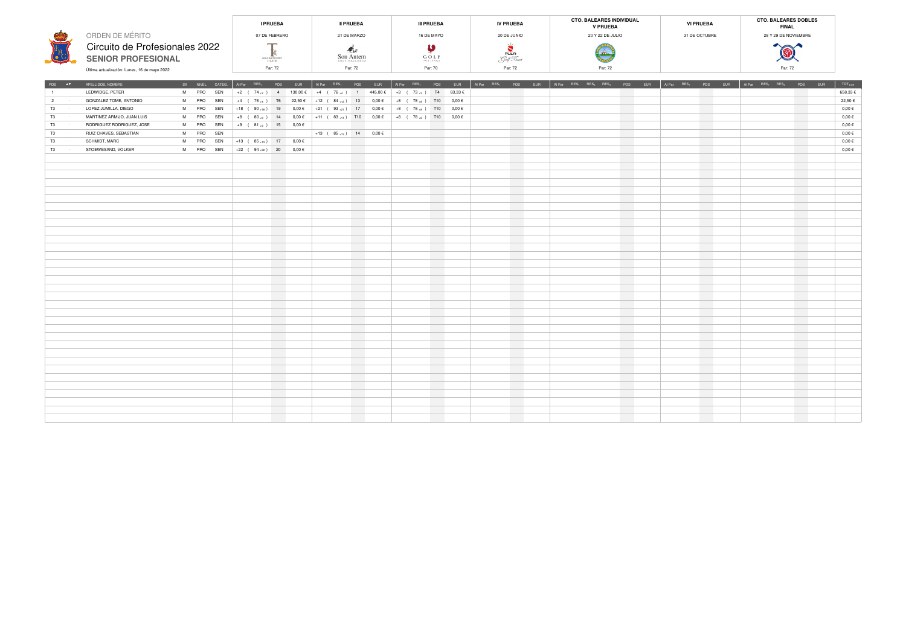|                                              | <b>I PRUEBA</b>                   | <b>II PRUEBA</b>           | <b>III PRUEBA</b> | <b>IV PRUEBA</b> | <b>CTO. BALEARES INDIVIDUAL</b><br><b>V PRUEBA</b> | <b>VI PRUEBA</b> | <b>CTO. BALEARES DOBLES</b><br><b>FINAL</b> |  |
|----------------------------------------------|-----------------------------------|----------------------------|-------------------|------------------|----------------------------------------------------|------------------|---------------------------------------------|--|
| ORDEN DE MÉRITO                              | 07 DE FEBRERO                     | 21 DE MARZO                | 16 DE MAYO        | 20 DE JUNIO      | 20 Y 22 DE JULIO                                   | 31 DE OCTUBRE    | 28 Y 29 DE NOVIEMBRE                        |  |
| Circuito de Profesionales 2022               |                                   |                            |                   | PULA             |                                                    |                  | <b>A</b>                                    |  |
| <b>SENIOR PROFESIONAL</b>                    | <b>GOLF &amp; COUNTRY</b><br>CLUB | Son Antem<br>GOLF MALLORCA | GOLF<br>POLICENSA | Golf Revort      |                                                    |                  | <b>CONSTRUCTION</b>                         |  |
| Última actualización: Lunes, 16 de mayo 2022 | Par: 72                           | Par: 72                    | Par: 70           | Par: 72          | Par: 72                                            |                  | Par: 72                                     |  |

| POS AT                 | APELLIDOS, NOMBRE          |  | SX NIVEL CATEG. |                            |                                  | Al Par RES <sub>1</sub> POS EUR    | Al Par RES <sub>1</sub> POS EUR                                                           |                          | Al Par RES <sub>1</sub> POS EUR |                   | Al Par RES <sub>1</sub> POS EUR |                 | Al Par RES <sub>1</sub> RES <sub>2</sub> RES <sub>3</sub> POS EUR |                   | Al Par RES <sub>1</sub> POS EUR | Al Par $RES_1$ RES <sub>2</sub> | POS EUR         | TOT <sub>EUR</sub> |
|------------------------|----------------------------|--|-----------------|----------------------------|----------------------------------|------------------------------------|-------------------------------------------------------------------------------------------|--------------------------|---------------------------------|-------------------|---------------------------------|-----------------|-------------------------------------------------------------------|-------------------|---------------------------------|---------------------------------|-----------------|--------------------|
| $1 - 1$                | LEDWIDGE, PETER            |  | M PRO SEN       |                            |                                  |                                    | +2 ( $74_{+2}$ ) 4   130,00 €   +4 ( $76_{+4}$ ) 1 445,00 €   +3 ( $73_{+3}$ ) T4 83,33 € |                          |                                 |                   |                                 |                 |                                                                   |                   |                                 |                                 |                 | 658,33€            |
| $2 \rightarrow 2$      | GONZALEZ TOME, ANTONIO     |  | M PRO SEN       |                            |                                  |                                    | +4 ( 76 4 ) T6 22,50 € +12 ( $84_{+12}$ ) 13 0,00 €                                       |                          | +8 ( $78_{+8}$ ) T10 0,00 €     |                   |                                 |                 |                                                                   |                   | <b>Contract Contract</b>        |                                 |                 | 22,50€             |
| $T3$ $T3$              | LOPEZ JUMILLA, DIEGO       |  | M PRO SEN       |                            |                                  |                                    | +18 ( $90+18$ ) 19  0,00 € +21 ( $93+21$ ) 17  0,00 € +8 ( $78+8$ ) T10  0,00 €           |                          |                                 |                   |                                 |                 |                                                                   |                   | <b>Contract</b>                 |                                 |                 | $0,00 \in$         |
| $T3$ .                 | MARTINEZ ARMIJO, JUAN LUIS |  | M PRO SEN       |                            |                                  |                                    | +8 (80→8) 14 0,00 € +11 (83→11) T10 0,00 €                                                |                          | $+8$ ( 78 $+8$ ) T10 0,00 €     |                   |                                 |                 |                                                                   | and the           | <b>Contract</b>                 |                                 |                 | $0,00 \in$         |
| $T3$ .                 | RODRIGUEZ RODRIGUEZ, JOSE  |  | M PRO SEN       | +9 ( $81_{+9}$ ) 15 0,00 € |                                  |                                    |                                                                                           |                          |                                 |                   |                                 |                 |                                                                   |                   | <b>Contract Contract</b>        |                                 |                 | $0,00 \in$         |
| $T3$ .                 | RUIZ CHAVES, SEBASTIAN     |  | M PRO SEN       |                            | <b>Service Contract Contract</b> |                                    | $+13$ ( $85+13$ ) 14 0,00 €                                                               |                          |                                 | <b>Contract</b>   |                                 |                 |                                                                   |                   | <b>Contract Contract</b>        |                                 |                 | $0,00 \in$         |
|                        | SCHMIDT, MARC              |  | M PRO SEN       |                            |                                  | +13 (85 <sub>+13</sub> ) 17 0,00 € |                                                                                           |                          |                                 | <b>Contract</b>   |                                 |                 |                                                                   |                   | <b>Contract Contract</b>        |                                 |                 | $0,00 \in$         |
| $T3$ . The set of $T3$ | STOEWESAND, VOLKER         |  | M PRO SEN       |                            |                                  | +22 ( $94_{+22}$ ) 20 0,00 €       |                                                                                           | <b>Contract</b>          |                                 | <b>Contract</b>   |                                 |                 |                                                                   |                   | <b>Contract Contract</b>        |                                 |                 | $0,00 \in$         |
|                        |                            |  |                 |                            |                                  |                                    |                                                                                           | <b>Contract Contract</b> |                                 | <b>Contract</b>   |                                 |                 |                                                                   | <b>STATISTICS</b> | <b>Contract</b>                 |                                 |                 |                    |
|                        |                            |  |                 |                            | <b>Contract</b>                  |                                    |                                                                                           | <b>Contract</b>          |                                 | <b>Contract</b>   |                                 |                 |                                                                   |                   | <b>Contract</b>                 |                                 |                 |                    |
|                        |                            |  |                 |                            | <b>Contract</b>                  |                                    |                                                                                           | <b>Contract</b>          |                                 | <b>Contract</b>   |                                 |                 |                                                                   |                   | <b>Contract Contract</b>        |                                 |                 |                    |
|                        |                            |  |                 |                            |                                  |                                    |                                                                                           | <b>Contract</b>          |                                 | <b>STATISTICS</b> |                                 |                 |                                                                   |                   | <b>Contract</b>                 |                                 |                 |                    |
|                        |                            |  |                 |                            | <b>Contract</b>                  |                                    |                                                                                           | <b>Contract</b>          |                                 | <b>Contract</b>   |                                 | <b>Contract</b> |                                                                   | <b>Contract</b>   | <b>Contract</b>                 |                                 | <b>Contract</b> |                    |
|                        |                            |  |                 |                            | <b>Contract</b>                  |                                    |                                                                                           | <b>Contract</b>          |                                 | <b>Contract</b>   |                                 |                 |                                                                   | <b>STATISTICS</b> | <b>Contract</b>                 |                                 |                 |                    |
|                        |                            |  |                 |                            | <b>Contract</b>                  |                                    |                                                                                           | <b>Contract Contract</b> |                                 | <b>Contract</b>   |                                 |                 |                                                                   | <b>STATISTICS</b> | <b>Contract Contract</b>        |                                 |                 |                    |
|                        |                            |  |                 |                            | <b>Contract</b>                  |                                    |                                                                                           | <b>Contract</b>          |                                 | <b>Contract</b>   |                                 |                 |                                                                   | <b>STATISTICS</b> | <b>Contract Contract</b>        |                                 |                 |                    |
|                        |                            |  |                 |                            | <b>Contract</b>                  |                                    |                                                                                           | <b>Contract</b>          |                                 | <b>Contract</b>   |                                 |                 |                                                                   |                   | <b>Contract Contract</b>        |                                 |                 |                    |
|                        |                            |  |                 |                            | <b>Contract</b>                  |                                    |                                                                                           | <b>Contract</b>          |                                 | <b>Contract</b>   |                                 |                 |                                                                   |                   | <b>Contract Contract</b>        |                                 |                 |                    |
|                        |                            |  |                 |                            |                                  |                                    |                                                                                           | <b>Contract</b>          |                                 | <b>Contract</b>   |                                 |                 |                                                                   |                   | <b>Contract</b>                 |                                 |                 |                    |
|                        |                            |  |                 |                            | <b>Contract</b>                  |                                    |                                                                                           | <b>Contract</b>          |                                 | <b>Contract</b>   |                                 |                 |                                                                   |                   | <b>Contract Contract</b>        |                                 |                 |                    |
|                        |                            |  |                 |                            |                                  |                                    |                                                                                           | <b>Contract</b>          |                                 | <b>STATE</b>      |                                 |                 |                                                                   |                   | <b>Contract</b>                 |                                 |                 |                    |
|                        |                            |  |                 |                            | <b>Contract</b>                  |                                    |                                                                                           | <b>Contract</b>          |                                 | <b>Contract</b>   |                                 |                 |                                                                   | <b>Contract</b>   |                                 |                                 |                 |                    |
|                        |                            |  |                 |                            | <b>Contract</b>                  |                                    |                                                                                           | <b>Contract</b>          |                                 | <b>Contract</b>   |                                 |                 |                                                                   |                   | <b>Contract</b>                 |                                 |                 |                    |
|                        |                            |  |                 |                            | <b>Contract</b>                  |                                    |                                                                                           | <b>Contract Contract</b> |                                 | <b>Contract</b>   |                                 |                 |                                                                   |                   |                                 |                                 |                 |                    |
|                        |                            |  |                 |                            |                                  |                                    |                                                                                           |                          |                                 | <b>STATISTICS</b> |                                 |                 |                                                                   |                   | <b>Contract</b>                 |                                 |                 |                    |
|                        |                            |  |                 |                            | <b>Contract</b>                  |                                    |                                                                                           | <b>Contract Contract</b> |                                 | <b>Contract</b>   |                                 |                 |                                                                   | <b>STATE</b>      | <b>Contract</b>                 |                                 |                 |                    |
|                        |                            |  |                 |                            |                                  |                                    |                                                                                           | <b>Contract</b>          |                                 | <b>Contract</b>   |                                 |                 |                                                                   |                   | <b>Contract</b>                 |                                 |                 |                    |
|                        |                            |  |                 |                            |                                  |                                    |                                                                                           | <b>Contract</b>          |                                 |                   |                                 |                 |                                                                   |                   | <b>Contract</b>                 |                                 |                 |                    |
|                        |                            |  |                 |                            | <b>Contract</b>                  |                                    |                                                                                           | <b>Contract</b>          |                                 | <b>Contract</b>   |                                 |                 |                                                                   | <b>STATISTICS</b> | <b>Contract Contract</b>        |                                 |                 |                    |
|                        |                            |  |                 |                            |                                  |                                    |                                                                                           | <b>Contract</b>          |                                 | <b>Contract</b>   |                                 |                 |                                                                   |                   | <b>Contract</b>                 |                                 |                 |                    |
|                        |                            |  |                 |                            | <b>Contract</b>                  |                                    |                                                                                           | <b>Contract</b>          |                                 | <b>Contract</b>   |                                 |                 |                                                                   |                   | <b>Contract</b>                 |                                 | <b>Contract</b> |                    |
|                        |                            |  |                 |                            | <b>Contract</b>                  |                                    |                                                                                           | <b>Contract</b>          |                                 | <b>Contract</b>   |                                 |                 |                                                                   | <b>STATISTICS</b> | <b>Contract</b>                 |                                 |                 |                    |
|                        |                            |  |                 |                            | <b>Contract</b>                  |                                    |                                                                                           | <b>Contract</b>          |                                 | <b>Contract</b>   |                                 |                 |                                                                   |                   | <b>Contract Contract</b>        |                                 |                 |                    |
|                        |                            |  |                 |                            | <b>Contract</b>                  |                                    |                                                                                           |                          |                                 | <b>Contract</b>   |                                 |                 |                                                                   |                   | <b>Contract</b>                 |                                 |                 |                    |
|                        |                            |  |                 |                            | <b>Contract</b>                  |                                    |                                                                                           | <b>Contract Contract</b> |                                 | <b>Contract</b>   |                                 |                 |                                                                   | <b>STATISTICS</b> | <b>Contract Contract</b>        |                                 |                 |                    |
|                        |                            |  |                 |                            |                                  |                                    |                                                                                           | <b>Contract</b>          |                                 | <b>Contract</b>   |                                 |                 |                                                                   |                   | <b>Contract</b>                 |                                 |                 |                    |
|                        |                            |  |                 |                            |                                  |                                    |                                                                                           | <b>Contract</b>          |                                 | <b>Contract</b>   |                                 |                 |                                                                   |                   | <b>Contract Contract</b>        |                                 |                 |                    |
|                        |                            |  |                 |                            | <b>Contract</b>                  |                                    |                                                                                           | <b>Contract</b>          |                                 | <b>Contract</b>   |                                 |                 |                                                                   |                   | <b>Contract</b>                 |                                 |                 |                    |
|                        |                            |  |                 |                            | <b>Contract</b>                  |                                    |                                                                                           | <b>Contract</b>          |                                 | <b>Contract</b>   |                                 |                 |                                                                   |                   |                                 |                                 |                 |                    |
|                        |                            |  |                 |                            | <b>Contract</b>                  |                                    |                                                                                           | <b>Contract</b>          |                                 | <b>Contract</b>   |                                 |                 |                                                                   |                   | <b>Contract</b>                 |                                 |                 |                    |
|                        |                            |  |                 |                            |                                  |                                    |                                                                                           |                          |                                 |                   |                                 |                 |                                                                   |                   |                                 |                                 |                 |                    |